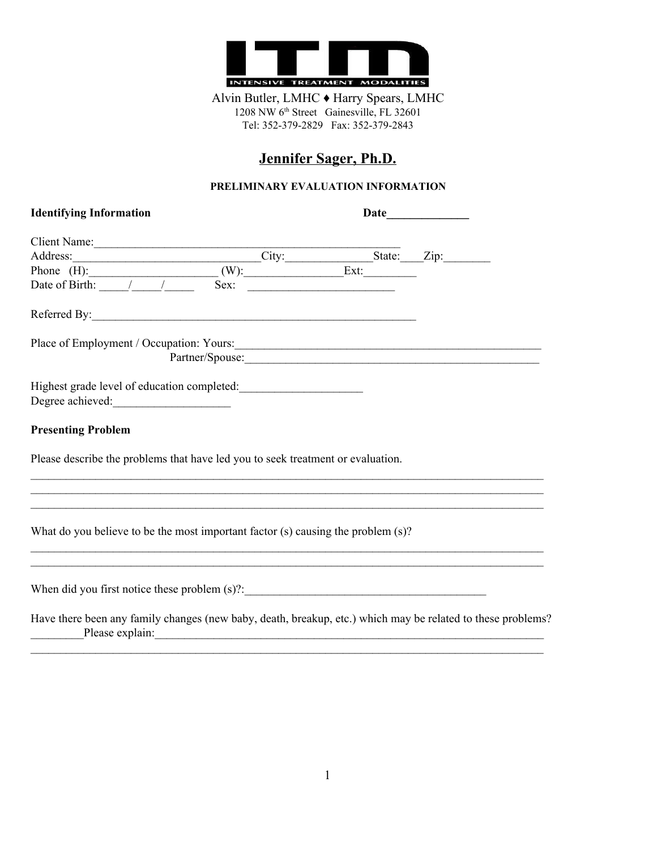

Alvin Butler, LMHC ♦ Harry Spears, LMHC 1208 NW 6<sup>th</sup> Street Gainesville, FL 32601 Tel: 352-379-2829 Fax: 352-379-2843

# **Jennifer Sager, Ph.D.**

### **PRELIMINARY EVALUATION INFORMATION**

| <b>Identifying Information</b>                                                   | Date                                                                                                                |  |                 |
|----------------------------------------------------------------------------------|---------------------------------------------------------------------------------------------------------------------|--|-----------------|
|                                                                                  |                                                                                                                     |  |                 |
|                                                                                  |                                                                                                                     |  |                 |
|                                                                                  |                                                                                                                     |  |                 |
|                                                                                  |                                                                                                                     |  |                 |
|                                                                                  |                                                                                                                     |  |                 |
| Place of Employment / Occupation: Yours:                                         |                                                                                                                     |  |                 |
|                                                                                  |                                                                                                                     |  | Partner/Spouse: |
|                                                                                  |                                                                                                                     |  |                 |
|                                                                                  |                                                                                                                     |  |                 |
| <b>Presenting Problem</b>                                                        |                                                                                                                     |  |                 |
| Please describe the problems that have led you to seek treatment or evaluation.  |                                                                                                                     |  |                 |
|                                                                                  |                                                                                                                     |  |                 |
|                                                                                  |                                                                                                                     |  |                 |
| What do you believe to be the most important factor (s) causing the problem (s)? |                                                                                                                     |  |                 |
|                                                                                  |                                                                                                                     |  |                 |
| When did you first notice these problem $(s)$ ?:                                 |                                                                                                                     |  |                 |
|                                                                                  | المالية المستحدث والمتحدث والمتحدث والمتحدث والمتحدث والمتحدث والمتحدث والمتحدث والمتحدث والمتحدث والمتحدث والمتحدث |  |                 |

Have there been any family changes (new baby, death, breakup, etc.) which may be related to these problems? \_\_\_\_\_\_\_\_\_Please explain:\_\_\_\_\_\_\_\_\_\_\_\_\_\_\_\_\_\_\_\_\_\_\_\_\_\_\_\_\_\_\_\_\_\_\_\_\_\_\_\_\_\_\_\_\_\_\_\_\_\_\_\_\_\_\_\_\_\_\_\_\_\_\_\_\_\_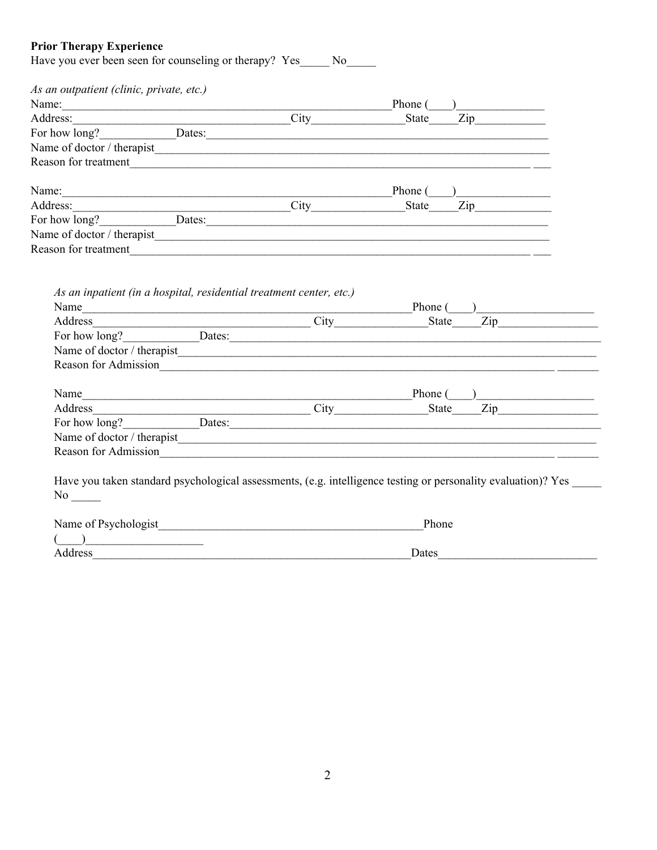# **Prior Therapy Experience**

|                                                                     | Reason for treatment                                                                                                                                                                                                           |
|---------------------------------------------------------------------|--------------------------------------------------------------------------------------------------------------------------------------------------------------------------------------------------------------------------------|
|                                                                     | Name: Phone (2012) Phone (2013) Phone (2014) Phone (2014) Phone (2014) Phone (2014) Phone (2014) Phone (2014) Phone (2014) Phone (2014) Phone (2014) Phone (2014) Phone (2014) Phone (2014) Phone (2014) Phone (2014) Phone (2 |
|                                                                     | Address: City State Zip                                                                                                                                                                                                        |
|                                                                     | For how long?<br><u>Dates:</u>                                                                                                                                                                                                 |
|                                                                     |                                                                                                                                                                                                                                |
|                                                                     | Reason for treatment                                                                                                                                                                                                           |
| As an inpatient (in a hospital, residential treatment center, etc.) |                                                                                                                                                                                                                                |
|                                                                     |                                                                                                                                                                                                                                |
|                                                                     | Address City State Zip                                                                                                                                                                                                         |
|                                                                     | For how long?<br><u>Dates:</u>                                                                                                                                                                                                 |
|                                                                     |                                                                                                                                                                                                                                |
|                                                                     |                                                                                                                                                                                                                                |
|                                                                     |                                                                                                                                                                                                                                |
|                                                                     |                                                                                                                                                                                                                                |
|                                                                     | Reason for Admission                                                                                                                                                                                                           |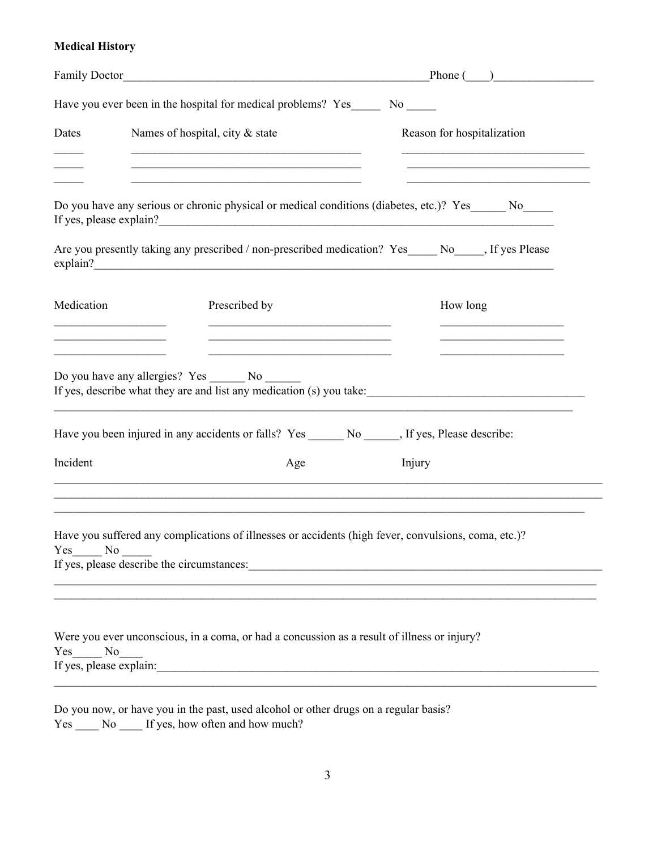# **Medical History**

|                                   |                                                                                                                                                                                                                                   | Phone $(\_\_)$                                                                                                                   |
|-----------------------------------|-----------------------------------------------------------------------------------------------------------------------------------------------------------------------------------------------------------------------------------|----------------------------------------------------------------------------------------------------------------------------------|
|                                   | Have you ever been in the hospital for medical problems? Yes No                                                                                                                                                                   |                                                                                                                                  |
| Dates                             | Names of hospital, city & state                                                                                                                                                                                                   | Reason for hospitalization                                                                                                       |
|                                   | Do you have any serious or chronic physical or medical conditions (diabetes, etc.)? Yes______ No_____                                                                                                                             |                                                                                                                                  |
|                                   |                                                                                                                                                                                                                                   |                                                                                                                                  |
|                                   | Are you presently taking any prescribed / non-prescribed medication? Yes_____ No_____, If yes Please<br>explain?                                                                                                                  |                                                                                                                                  |
| Medication                        | Prescribed by<br><u> 1989 - Johann Stein, marwolaethau a bhannaich an t-Amhair an t-Amhair an t-Amhair an t-Amhair an t-Amhair an </u><br><u> 2000 - Jan Barbara al III-lea (h. 1888).</u>                                        | How long<br><u> 1989 - Johann John Stone, markin fizik a shekara 1989 - 1989 - 1989 - 1989 - 1989 - 1989 - 1989 - 1989 - 198</u> |
|                                   | Do you have any allergies? Yes ________ No _______<br>If yes, describe what they are and list any medication (s) you take:<br>Have you been injured in any accidents or falls? Yes _________ No _______, If yes, Please describe: |                                                                                                                                  |
| Incident                          | Age                                                                                                                                                                                                                               | Injury                                                                                                                           |
|                                   | ,我们也不会有什么。""我们的人,我们也不会有什么?""我们的人,我们也不会有什么?""我们的人,我们也不会有什么?""我们的人,我们也不会有什么?""我们的人                                                                                                                                                  |                                                                                                                                  |
| Yes No                            | Have you suffered any complications of illnesses or accidents (high fever, convulsions, coma, etc.)?                                                                                                                              |                                                                                                                                  |
| Yes No<br>If yes, please explain: | Were you ever unconscious, in a coma, or had a concussion as a result of illness or injury?                                                                                                                                       |                                                                                                                                  |

|            |     | Do you now, or have you in the past, used alcohol or other drugs on a regular basis? |
|------------|-----|--------------------------------------------------------------------------------------|
| <b>Yes</b> | No. | If yes, how often and how much?                                                      |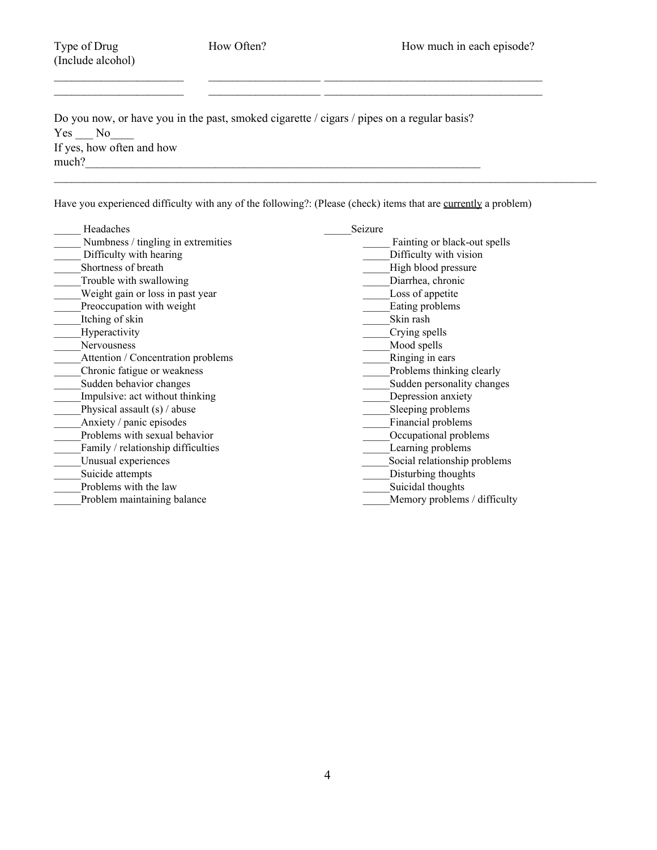(Include alcohol)

Do you now, or have you in the past, smoked cigarette / cigars / pipes on a regular basis?  $Yes$   $No$   $No$ If yes, how often and how  $much?$ 

Have you experienced difficulty with any of the following?: (Please (check) items that are currently a problem)

 $\mathcal{L}_\mathcal{L} = \mathcal{L}_\mathcal{L} = \mathcal{L}_\mathcal{L} = \mathcal{L}_\mathcal{L} = \mathcal{L}_\mathcal{L} = \mathcal{L}_\mathcal{L} = \mathcal{L}_\mathcal{L} = \mathcal{L}_\mathcal{L} = \mathcal{L}_\mathcal{L} = \mathcal{L}_\mathcal{L} = \mathcal{L}_\mathcal{L} = \mathcal{L}_\mathcal{L} = \mathcal{L}_\mathcal{L} = \mathcal{L}_\mathcal{L} = \mathcal{L}_\mathcal{L} = \mathcal{L}_\mathcal{L} = \mathcal{L}_\mathcal{L}$ 

 $\mathcal{L}_\mathcal{L} = \mathcal{L}_\mathcal{L} = \mathcal{L}_\mathcal{L} = \mathcal{L}_\mathcal{L} = \mathcal{L}_\mathcal{L} = \mathcal{L}_\mathcal{L} = \mathcal{L}_\mathcal{L} = \mathcal{L}_\mathcal{L} = \mathcal{L}_\mathcal{L} = \mathcal{L}_\mathcal{L} = \mathcal{L}_\mathcal{L} = \mathcal{L}_\mathcal{L} = \mathcal{L}_\mathcal{L} = \mathcal{L}_\mathcal{L} = \mathcal{L}_\mathcal{L} = \mathcal{L}_\mathcal{L} = \mathcal{L}_\mathcal{L}$ 

\_\_\_\_\_\_\_\_\_\_\_\_\_\_\_\_\_\_\_\_\_\_ \_\_\_\_\_\_\_\_\_\_\_\_\_\_\_\_\_\_\_ \_\_\_\_\_\_\_\_\_\_\_\_\_\_\_\_\_\_\_\_\_\_\_\_\_\_\_\_\_\_\_\_\_\_\_\_\_

| Headaches                          | Seizure                      |
|------------------------------------|------------------------------|
| Numbness / tingling in extremities | Fainting or black-out spells |
| Difficulty with hearing            | Difficulty with vision       |
| Shortness of breath                | High blood pressure          |
| Trouble with swallowing            | Diarrhea, chronic            |
| Weight gain or loss in past year   | Loss of appetite             |
| Preoccupation with weight          | Eating problems              |
| Itching of skin                    | Skin rash                    |
| Hyperactivity                      | Crying spells                |
| Nervousness                        | Mood spells                  |
| Attention / Concentration problems | Ringing in ears              |
| Chronic fatigue or weakness        | Problems thinking clearly    |
| Sudden behavior changes            | Sudden personality changes   |
| Impulsive: act without thinking    | Depression anxiety           |
| Physical assault $(s)$ / abuse     | Sleeping problems            |
| Anxiety / panic episodes           | Financial problems           |
| Problems with sexual behavior      | Occupational problems        |
| Family / relationship difficulties | Learning problems            |
| Unusual experiences                | Social relationship problems |
| Suicide attempts                   | Disturbing thoughts          |
| Problems with the law              | Suicidal thoughts            |
| Problem maintaining balance        | Memory problems / difficulty |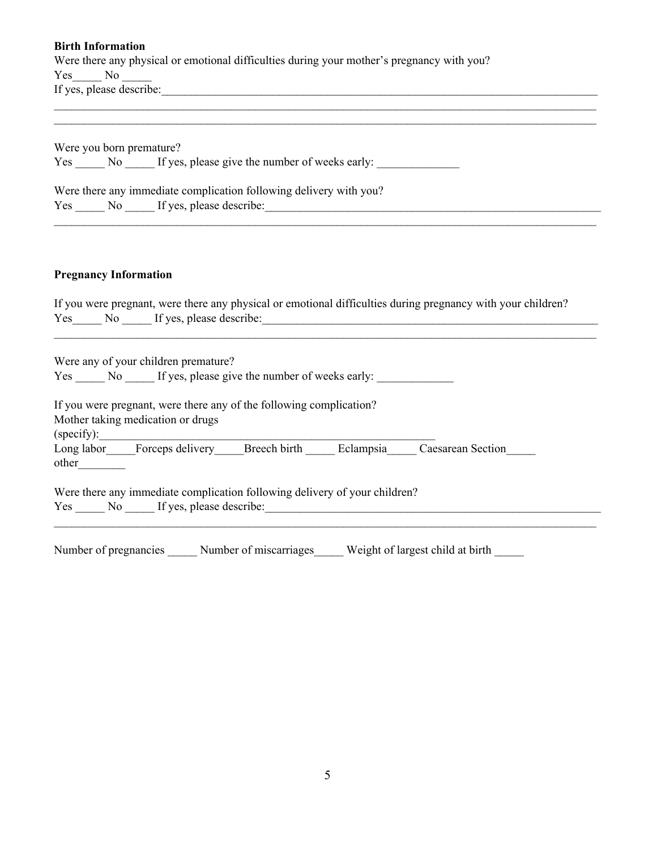#### **Birth Information**

Were there any physical or emotional difficulties during your mother's pregnancy with you? Yes No If yes, please describe:

Were you born premature? Yes \_\_\_\_\_ No \_\_\_\_\_ If yes, please give the number of weeks early: Were there any immediate complication following delivery with you? Yes \_\_\_\_\_ No \_\_\_\_\_ If yes, please describe:

 $\mathcal{L}_\mathcal{L} = \mathcal{L}_\mathcal{L} = \mathcal{L}_\mathcal{L} = \mathcal{L}_\mathcal{L} = \mathcal{L}_\mathcal{L} = \mathcal{L}_\mathcal{L} = \mathcal{L}_\mathcal{L} = \mathcal{L}_\mathcal{L} = \mathcal{L}_\mathcal{L} = \mathcal{L}_\mathcal{L} = \mathcal{L}_\mathcal{L} = \mathcal{L}_\mathcal{L} = \mathcal{L}_\mathcal{L} = \mathcal{L}_\mathcal{L} = \mathcal{L}_\mathcal{L} = \mathcal{L}_\mathcal{L} = \mathcal{L}_\mathcal{L}$  $\mathcal{L}_\mathcal{L} = \mathcal{L}_\mathcal{L} = \mathcal{L}_\mathcal{L} = \mathcal{L}_\mathcal{L} = \mathcal{L}_\mathcal{L} = \mathcal{L}_\mathcal{L} = \mathcal{L}_\mathcal{L} = \mathcal{L}_\mathcal{L} = \mathcal{L}_\mathcal{L} = \mathcal{L}_\mathcal{L} = \mathcal{L}_\mathcal{L} = \mathcal{L}_\mathcal{L} = \mathcal{L}_\mathcal{L} = \mathcal{L}_\mathcal{L} = \mathcal{L}_\mathcal{L} = \mathcal{L}_\mathcal{L} = \mathcal{L}_\mathcal{L}$ 

#### **Pregnancy Information**

|     |     | If you were pregnant, were there any physical or emotional difficulties during pregnancy with your children? |  |
|-----|-----|--------------------------------------------------------------------------------------------------------------|--|
|     |     | Yes No If yes, please describe:                                                                              |  |
|     |     |                                                                                                              |  |
|     |     |                                                                                                              |  |
|     |     | Were any of your children premature?                                                                         |  |
| Yes | No. | If yes, please give the number of weeks early:                                                               |  |

 $\mathcal{L}_\mathcal{L} = \mathcal{L}_\mathcal{L} = \mathcal{L}_\mathcal{L} = \mathcal{L}_\mathcal{L} = \mathcal{L}_\mathcal{L} = \mathcal{L}_\mathcal{L} = \mathcal{L}_\mathcal{L} = \mathcal{L}_\mathcal{L} = \mathcal{L}_\mathcal{L} = \mathcal{L}_\mathcal{L} = \mathcal{L}_\mathcal{L} = \mathcal{L}_\mathcal{L} = \mathcal{L}_\mathcal{L} = \mathcal{L}_\mathcal{L} = \mathcal{L}_\mathcal{L} = \mathcal{L}_\mathcal{L} = \mathcal{L}_\mathcal{L}$ 

If you were pregnant, were there any of the following complication?

Mother taking medication or drugs  $(specify):$ 

Long labor Forceps delivery Breech birth Eclampsia Caesarean Section

other\_\_\_\_\_\_\_\_

Were there any immediate complication following delivery of your children? Yes \_\_\_\_\_ No \_\_\_\_\_ If yes, please describe:\_\_\_\_\_\_\_\_\_\_\_\_\_\_\_\_\_\_\_\_\_\_\_\_\_\_\_\_\_\_\_\_\_\_\_\_\_\_\_\_\_\_\_\_\_\_\_\_\_\_\_\_\_\_\_\_\_

Number of pregnancies Mumber of miscarriages Weight of largest child at birth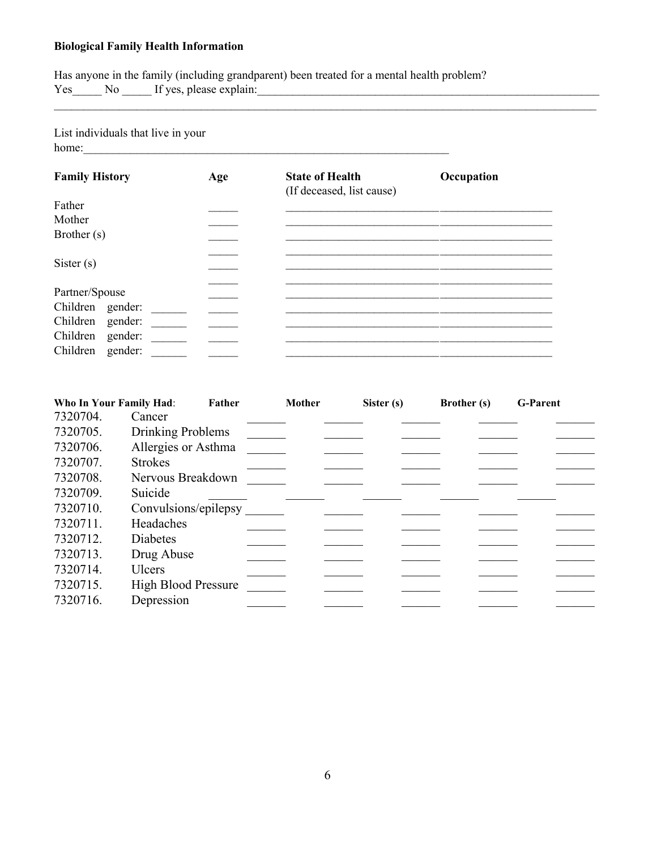### **Biological Family Health Information**

Has anyone in the family (including grandparent) been treated for a mental health problem? Yes\_\_\_\_\_ No \_\_\_\_\_ If yes, please explain:\_\_\_\_\_\_\_\_\_\_\_\_\_\_\_\_\_\_\_\_\_\_\_\_\_\_\_\_\_\_\_\_\_\_\_\_\_\_\_\_\_\_\_\_\_\_\_\_\_\_\_\_\_\_\_\_\_\_

List individuals that live in your home:

| <b>Family History</b> | Age | <b>State of Health</b><br>(If deceased, list cause) | Occupation |
|-----------------------|-----|-----------------------------------------------------|------------|
| Father                |     |                                                     |            |
| Mother                |     |                                                     |            |
| Brother (s)           |     |                                                     |            |
| Sister $(s)$          |     |                                                     |            |
| Partner/Spouse        |     |                                                     |            |
| Children gender:      |     |                                                     |            |
| Children<br>gender:   |     |                                                     |            |
| Children<br>gender:   |     |                                                     |            |
| Children<br>gender:   |     |                                                     |            |

\_\_\_\_\_\_\_\_\_\_\_\_\_\_\_\_\_\_\_\_\_\_\_\_\_\_\_\_\_\_\_\_\_\_\_\_\_\_\_\_\_\_\_\_\_\_\_\_\_\_\_\_\_\_\_\_\_\_\_\_\_\_\_\_\_\_\_\_\_\_\_\_\_\_\_\_\_\_\_\_\_\_\_\_\_\_\_\_\_\_\_\_

| Who In Your Family Had: | Father                     | <b>Mother</b> | Sister (s) | <b>Brother</b> (s) | <b>G-Parent</b> |
|-------------------------|----------------------------|---------------|------------|--------------------|-----------------|
| 7320704.                | Cancer                     |               |            |                    |                 |
| 7320705.                | Drinking Problems          |               |            |                    |                 |
| 7320706.                | Allergies or Asthma        |               |            |                    |                 |
| 7320707.                | <b>Strokes</b>             |               |            |                    |                 |
| 7320708.                | Nervous Breakdown          |               |            |                    |                 |
| 7320709.                | Suicide                    |               |            |                    |                 |
| 7320710.                | Convulsions/epilepsy       |               |            |                    |                 |
| 7320711.                | Headaches                  |               |            |                    |                 |
| 7320712.                | Diabetes                   |               |            |                    |                 |
| 7320713.                | Drug Abuse                 |               |            |                    |                 |
| 7320714.                | Ulcers                     |               |            |                    |                 |
| 7320715.                | <b>High Blood Pressure</b> |               |            |                    |                 |
| 7320716.                | Depression                 |               |            |                    |                 |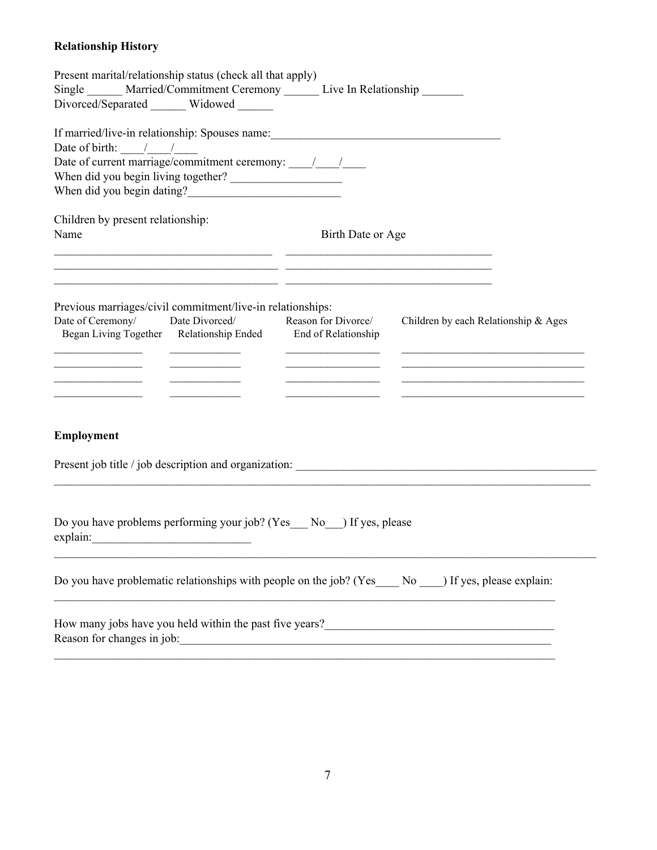# **Relationship History**

| Present marital/relationship status (check all that apply)<br>Single ______ Married/Commitment Ceremony ______ Live In Relationship ______<br>Divorced/Separated ______ Widowed _____                                                                                |                     |                                                                                                                      |
|----------------------------------------------------------------------------------------------------------------------------------------------------------------------------------------------------------------------------------------------------------------------|---------------------|----------------------------------------------------------------------------------------------------------------------|
| If married/live-in relationship: Spouses name:__________________________________<br>Date of birth: $\frac{1}{\sqrt{1-\frac{1}{2}}}$                                                                                                                                  |                     |                                                                                                                      |
|                                                                                                                                                                                                                                                                      |                     |                                                                                                                      |
|                                                                                                                                                                                                                                                                      |                     |                                                                                                                      |
| Children by present relationship:                                                                                                                                                                                                                                    |                     |                                                                                                                      |
| Name                                                                                                                                                                                                                                                                 | Birth Date or Age   |                                                                                                                      |
| <u> 1990 - Jan Salaman (j. 1980)</u>                                                                                                                                                                                                                                 |                     |                                                                                                                      |
| Previous marriages/civil commitment/live-in relationships:<br>Date of Ceremony/<br>Date Divorced/<br>Began Living Together Relationship Ended End of Relationship                                                                                                    | Reason for Divorce/ | Children by each Relationship & Ages                                                                                 |
|                                                                                                                                                                                                                                                                      |                     |                                                                                                                      |
| Employment                                                                                                                                                                                                                                                           |                     |                                                                                                                      |
|                                                                                                                                                                                                                                                                      |                     |                                                                                                                      |
| Do you have problems performing your job? (Yes No ) If yes, please<br>explain:                                                                                                                                                                                       |                     |                                                                                                                      |
| Do you have problematic relationships with people on the job? (Yes____ No ___) If yes, please explain:                                                                                                                                                               |                     |                                                                                                                      |
| How many jobs have you held within the past five years?<br><u>Letting and the substitute of the substitute of the substitute of the substitute of the substitute of the substitute of the substitute of the substitute of the subs</u><br>Reason for changes in job: |                     | <u> 1989 - Johann Barn, mars ann an t-Amhainn an t-Amhainn an t-Amhainn an t-Amhainn an t-Amhainn an t-Amhainn a</u> |
|                                                                                                                                                                                                                                                                      |                     |                                                                                                                      |